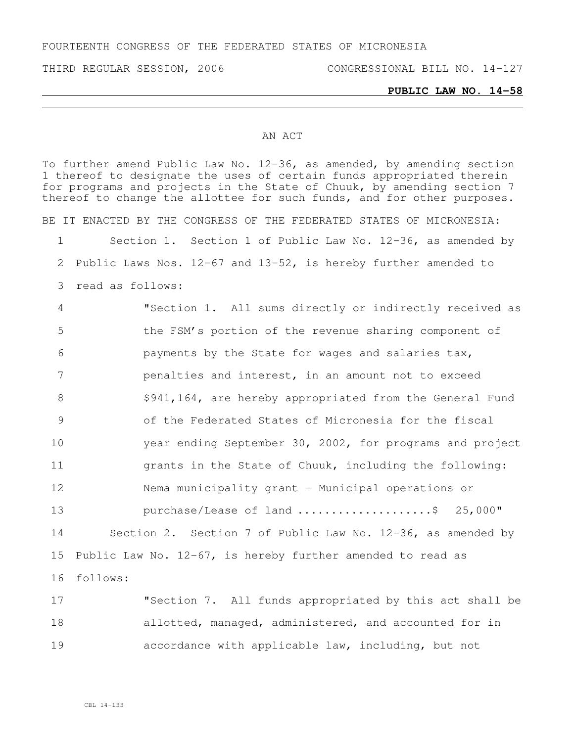FOURTEENTH CONGRESS OF THE FEDERATED STATES OF MICRONESIA

THIRD REGULAR SESSION, 2006 CONGRESSIONAL BILL NO. 14-127

## AN ACT

To further amend Public Law No. 12-36, as amended, by amending section thereof to designate the uses of certain funds appropriated therein for programs and projects in the State of Chuuk, by amending section 7 thereof to change the allottee for such funds, and for other purposes. BE IT ENACTED BY THE CONGRESS OF THE FEDERATED STATES OF MICRONESIA: Section 1. Section 1 of Public Law No. 12-36, as amended by Public Laws Nos. 12-67 and 13-52, is hereby further amended to read as follows: "Section 1. All sums directly or indirectly received as the FSM's portion of the revenue sharing component of payments by the State for wages and salaries tax, penalties and interest, in an amount not to exceed 8 \$941,164, are hereby appropriated from the General Fund of the Federated States of Micronesia for the fiscal year ending September 30, 2002, for programs and project grants in the State of Chuuk, including the following: Nema municipality grant — Municipal operations or 13 purchase/Lease of land .........................\$ 25,000" Section 2. Section 7 of Public Law No. 12-36, as amended by Public Law No. 12-67, is hereby further amended to read as 16 follows: "Section 7. All funds appropriated by this act shall be 18 allotted, managed, administered, and accounted for in

19 accordance with applicable law, including, but not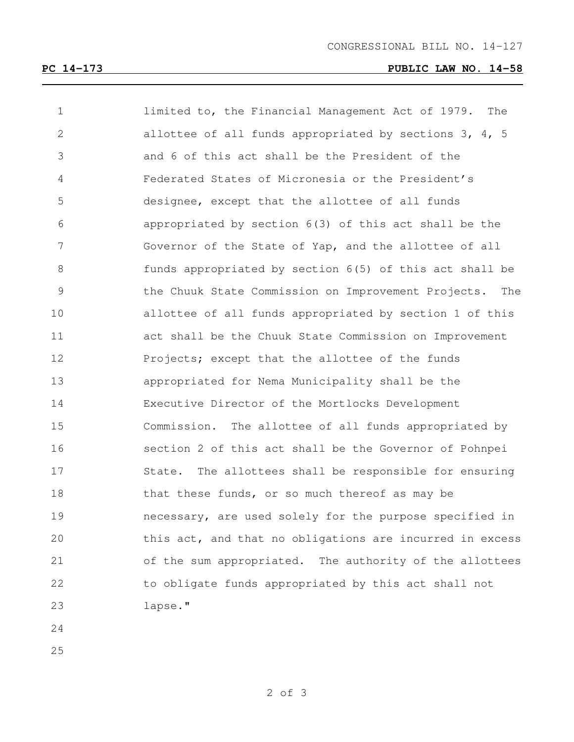## **PC 14-173 PUBLIC LAW NO. 14-58**

| $\mathbf 1$    | limited to, the Financial Management Act of 1979.<br>The |
|----------------|----------------------------------------------------------|
| $\mathbf{2}$   | allottee of all funds appropriated by sections 3, 4, 5   |
| 3              | and 6 of this act shall be the President of the          |
| 4              | Federated States of Micronesia or the President's        |
| 5              | designee, except that the allottee of all funds          |
| 6              | appropriated by section 6(3) of this act shall be the    |
| $7\phantom{.}$ | Governor of the State of Yap, and the allottee of all    |
| $8\,$          | funds appropriated by section 6(5) of this act shall be  |
| $\mathsf 9$    | the Chuuk State Commission on Improvement Projects. The  |
| 10             | allottee of all funds appropriated by section 1 of this  |
| 11             | act shall be the Chuuk State Commission on Improvement   |
| 12             | Projects; except that the allottee of the funds          |
| 13             | appropriated for Nema Municipality shall be the          |
| 14             | Executive Director of the Mortlocks Development          |
| 15             | Commission. The allottee of all funds appropriated by    |
| 16             | section 2 of this act shall be the Governor of Pohnpei   |
| 17             | State. The allottees shall be responsible for ensuring   |
| 18             | that these funds, or so much thereof as may be           |
| 19             | necessary, are used solely for the purpose specified in  |
| 20             | this act, and that no obligations are incurred in excess |
| 21             | of the sum appropriated. The authority of the allottees  |
| 22             | to obligate funds appropriated by this act shall not     |
| 23             | lapse."                                                  |
| 24             |                                                          |

- 
-